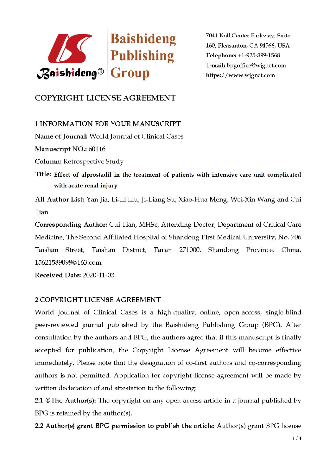

7041 Koll Center Parkway, Suite 160, Pleasanton, CA 94566, USA Telephone: +1-925-399-1568 E-mail: bpgoffice@wjgnet.com https://www.wjgnet.com

## **COPYRIGHT LICENSE AGREEMENT**

**1 INFORMATION FOR YOUR MANUSCRIPT** 

Name of Journal: World Journal of Clinical Cases

Manuscript NO.: 60116

**Column:** Retrospective Study

Title: Effect of alprostadil in the treatment of patients with intensive care unit complicated with acute renal injury

All Author List: Yan Jia, Li-Li Liu, Ji-Liang Su, Xiao-Hua Meng, Wei-Xin Wang and Cui Tian

Corresponding Author: Cui Tian, MHSc, Attending Doctor, Department of Critical Care Medicine, The Second Affiliated Hospital of Shandong First Medical University, No. 706 Taishan Street, Taishan District, Tai'an 271000, Shandong Province, China. 15621589099@163.com

Received Date: 2020-11-03

## 2 COPYRIGHT LICENSE AGREEMENT

World Journal of Clinical Cases is a high-quality, online, open-access, single-blind peer-reviewed journal published by the Baishideng Publishing Group (BPG). After consultation by the authors and BPG, the authors agree that if this manuscript is finally accepted for publication, the Copyright License Agreement will become effective immediately. Please note that the designation of co-first authors and co-corresponding authors is not permitted. Application for copyright license agreement will be made by written declaration of and attestation to the following:

2.1 ©The Author(s): The copyright on any open access article in a journal published by BPG is retained by the author(s).

2.2 Author(s) grant BPG permission to publish the article: Author(s) grant BPG license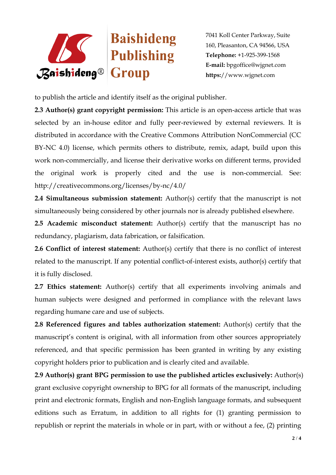

7041 Koll Center Parkway, Suite 160, Pleasanton, CA 94566, USA **Telephone:** +1-925-399-1568 **E-mail:** bpgoffice@wjgnet.com **https:**//www.wjgnet.com

to publish the article and identify itself as the original publisher.

**2.3 Author(s) grant copyright permission:** This article is an open-access article that was selected by an in-house editor and fully peer-reviewed by external reviewers. It is distributed in accordance with the Creative Commons Attribution NonCommercial (CC BY-NC 4.0) license, which permits others to distribute, remix, adapt, build upon this work non-commercially, and license their derivative works on different terms, provided the original work is properly cited and the use is non-commercial. See: http://creativecommons.org/licenses/by-nc/4.0/

**2.4 Simultaneous submission statement:** Author(s) certify that the manuscript is not simultaneously being considered by other journals nor is already published elsewhere.

**2.5 Academic misconduct statement:** Author(s) certify that the manuscript has no redundancy, plagiarism, data fabrication, or falsification.

**2.6 Conflict of interest statement:** Author(s) certify that there is no conflict of interest related to the manuscript. If any potential conflict-of-interest exists, author(s) certify that it is fully disclosed.

**2.7 Ethics statement:** Author(s) certify that all experiments involving animals and human subjects were designed and performed in compliance with the relevant laws regarding humane care and use of subjects.

**2.8 Referenced figures and tables authorization statement:** Author(s) certify that the manuscript's content is original, with all information from other sources appropriately referenced, and that specific permission has been granted in writing by any existing copyright holders prior to publication and is clearly cited and available.

**2.9 Author(s) grant BPG permission to use the published articles exclusively:** Author(s) grant exclusive copyright ownership to BPG for all formats of the manuscript, including print and electronic formats, English and non-English language formats, and subsequent editions such as Erratum, in addition to all rights for (1) granting permission to republish or reprint the materials in whole or in part, with or without a fee, (2) printing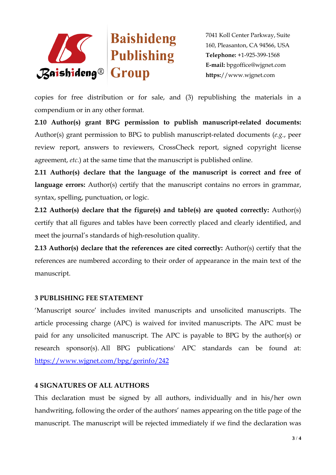

7041 Koll Center Parkway, Suite 160, Pleasanton, CA 94566, USA **Telephone:** +1-925-399-1568 **E-mail:** bpgoffice@wjgnet.com **https:**//www.wjgnet.com

copies for free distribution or for sale, and (3) republishing the materials in a compendium or in any other format.

**2.10 Author(s) grant BPG permission to publish manuscript-related documents:**  Author(s) grant permission to BPG to publish manuscript-related documents (*e.g.*, peer review report, answers to reviewers, CrossCheck report, signed copyright license agreement, *etc*.) at the same time that the manuscript is published online.

**2.11 Author(s) declare that the language of the manuscript is correct and free of**  language errors: Author(s) certify that the manuscript contains no errors in grammar, syntax, spelling, punctuation, or logic.

**2.12 Author(s) declare that the figure(s) and table(s) are quoted correctly:** Author(s) certify that all figures and tables have been correctly placed and clearly identified, and meet the journal's standards of high-resolution quality.

**2.13 Author(s) declare that the references are cited correctly:** Author(s) certify that the references are numbered according to their order of appearance in the main text of the manuscript.

## **3 PUBLISHING FEE STATEMENT**

'Manuscript source' includes invited manuscripts and unsolicited manuscripts. The article processing charge (APC) is waived for invited manuscripts. The APC must be paid for any unsolicited manuscript. The APC is payable to BPG by the author(s) or research sponsor(s). All BPG publications' APC standards can be found at: <https://www.wjgnet.com/bpg/gerinfo/242>

## **4 SIGNATURES OF ALL AUTHORS**

This declaration must be signed by all authors, individually and in his/her own handwriting, following the order of the authors' names appearing on the title page of the manuscript. The manuscript will be rejected immediately if we find the declaration was